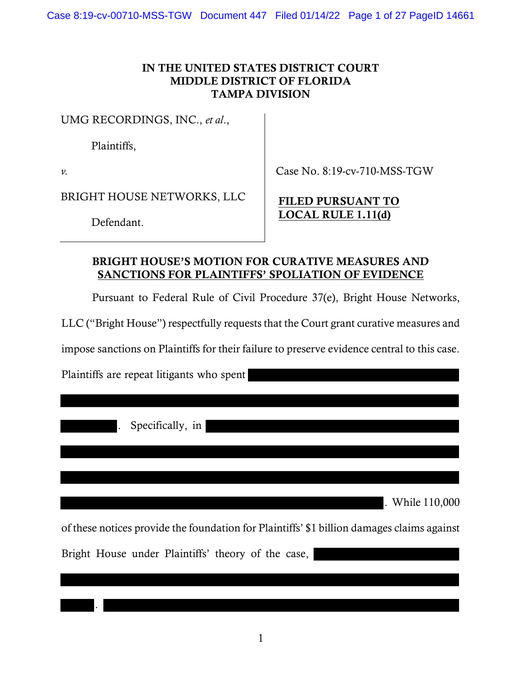### IN THE UNITED STATES DISTRICT COURT MIDDLE DISTRICT OF FLORIDA TAMPA DIVISION

UMG RECORDINGS, INC., et al.,

Plaintiffs,

 $\nu$ .

Case No. 8:19-cv-710-MSS-TGW

BRIGHT HOUSE NETWORKS, LLC

Defendant.

# FILED PURSUANT TO LOCAL RULE 1.11(d)

# BRIGHT HOUSE'S MOTION FOR CURATIVE MEASURES AND SANCTIONS FOR PLAINTIFFS' SPOLIATION OF EVIDENCE

Pursuant to Federal Rule of Civil Procedure 37(e), Bright House Networks,

LLC ("Bright House") respectfully requests that the Court grant curative measures and

impose sanctions on Plaintiffs for their failure to preserve evidence central to this case.

Plaintiffs are repeat litigants who spent

. Specifically, in

.

. While 110,000

of these notices provide the foundation for Plaintiffs' \$1 billion damages claims against

Bright House under Plaintiffs' theory of the case,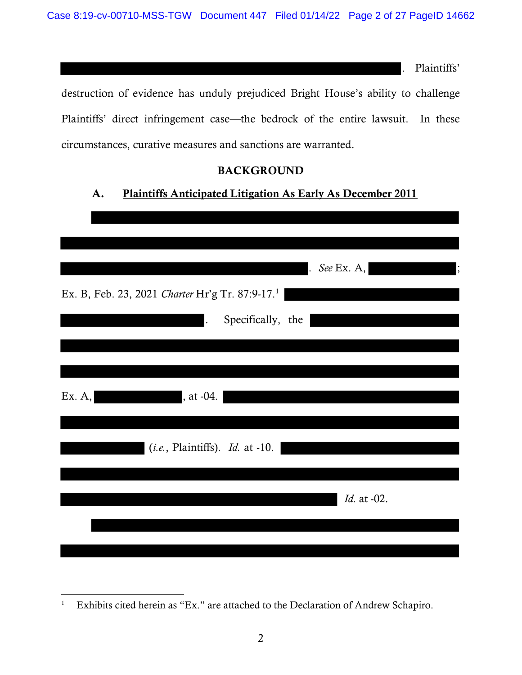. Plaintiffs'

destruction of evidence has unduly prejudiced Bright House's ability to challenge Plaintiffs' direct infringement case—the bedrock of the entire lawsuit. In these circumstances, curative measures and sanctions are warranted.

### BACKGROUND

# A. Plaintiffs Anticipated Litigation As Early As December 2011

|                                                             | $See$ Ex. A, |
|-------------------------------------------------------------|--------------|
| Ex. B, Feb. 23, 2021 Charter Hr'g Tr. 87:9-17. <sup>1</sup> |              |
| Specifically, the<br>$\ddot{\phantom{a}}$                   |              |
|                                                             |              |
|                                                             |              |
| , at -04.<br>Ex. A,                                         |              |
|                                                             |              |
| $(i.e.,$ Plaintiffs). <i>Id.</i> at -10.                    |              |
|                                                             |              |
|                                                             | Id. at -02.  |
|                                                             |              |
|                                                             |              |

<sup>1</sup> Exhibits cited herein as "Ex." are attached to the Declaration of Andrew Schapiro.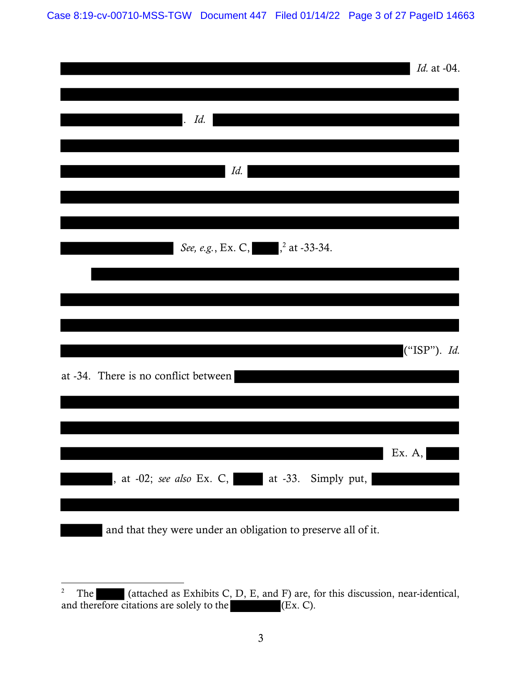Case 8:19-cv-00710-MSS-TGW Document 447 Filed 01/14/22 Page 3 of 27 PageID 14663

|                                                               | <i>Id.</i> at -04. |
|---------------------------------------------------------------|--------------------|
| Id.<br>$\mathbf{.}$                                           |                    |
| Id.                                                           |                    |
|                                                               |                    |
| See, e.g., Ex. C, <sup>2</sup> at -33-34.                     |                    |
|                                                               |                    |
| at -34. There is no conflict between                          | ("ISP"). Id.       |
|                                                               |                    |
| , at -02; see also Ex. C, at -33. Simply put,                 | Ex. $A,$           |
| and that they were under an obligation to preserve all of it. |                    |

<sup>&</sup>lt;sup>2</sup> The (attached as Exhibits C, D, E, and F) are, for this discussion, near-identical, and therefore citations are solely to the (Ex. C).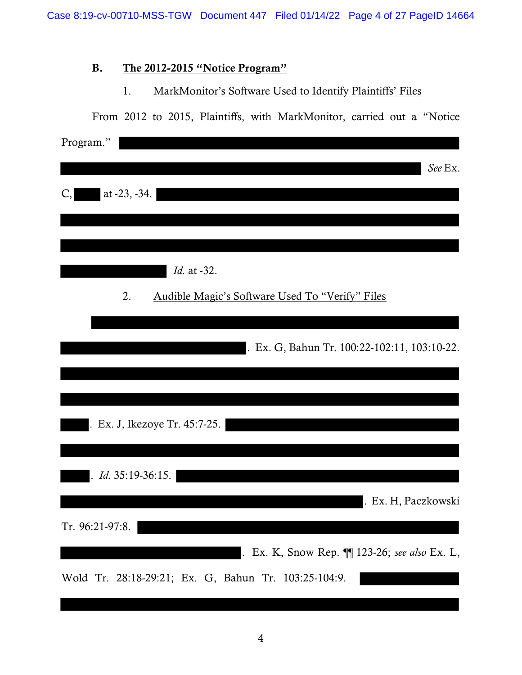# B. The 2012-2015 "Notice Program"

### 1. MarkMonitor's Software Used to Identify Plaintiffs' Files

| From 2012 to 2015, Plaintiffs, with MarkMonitor, carried out a "Notice" |
|-------------------------------------------------------------------------|
| Program."                                                               |
| See Ex.                                                                 |
|                                                                         |
| at -23, -34.<br>C,                                                      |
|                                                                         |
|                                                                         |
|                                                                         |
| <i>Id.</i> at -32.                                                      |
| 2.<br>Audible Magic's Software Used To "Verify" Files                   |
|                                                                         |
| . Ex. G, Bahun Tr. 100:22-102:11, 103:10-22.                            |
|                                                                         |
|                                                                         |
|                                                                         |
| . Ex. J, Ikezoye Tr. 45:7-25.                                           |
|                                                                         |
|                                                                         |
| Id. 35:19-36:15.                                                        |
| . Ex. H, Paczkowski                                                     |
| Tr. 96:21-97:8.                                                         |
|                                                                         |
| . Ex. K, Snow Rep. 1123-26; see also Ex. L,                             |
| Wold Tr. 28:18-29:21; Ex. G, Bahun Tr. 103:25-104:9.                    |
|                                                                         |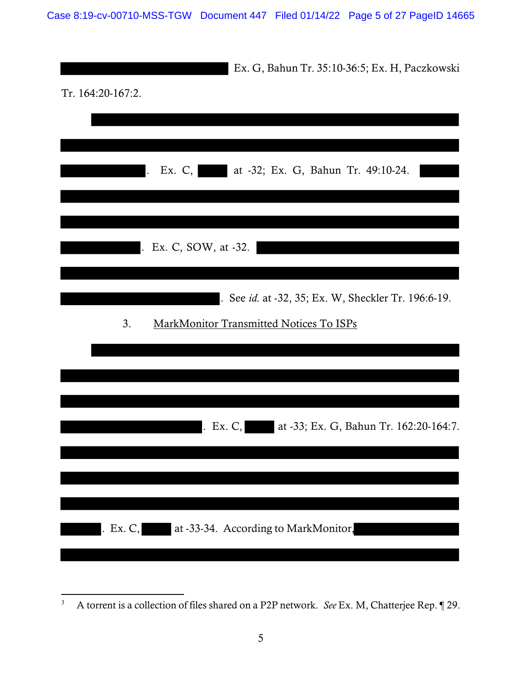|                   | Ex. G, Bahun Tr. 35:10-36:5; Ex. H, Paczkowski      |
|-------------------|-----------------------------------------------------|
| Tr. 164:20-167:2. |                                                     |
|                   |                                                     |
|                   |                                                     |
|                   | Ex. C,<br>at -32; Ex. G, Bahun Tr. 49:10-24.        |
|                   |                                                     |
|                   |                                                     |
| $\mathbf{r}$      | Ex. C, SOW, at -32.                                 |
|                   |                                                     |
|                   | . See id. at -32, 35; Ex. W, Sheckler Tr. 196:6-19. |
| 3.                | MarkMonitor Transmitted Notices To ISPs             |
|                   |                                                     |
|                   |                                                     |
|                   |                                                     |
|                   | at -33; Ex. G, Bahun Tr. 162:20-164:7.<br>Ex. $C$ , |
|                   |                                                     |
|                   |                                                     |
|                   |                                                     |
|                   | . Ex. C, at -33-34. According to MarkMonitor,       |
|                   |                                                     |

<sup>3</sup> A torrent is a collection of files shared on a P2P network. See Ex. M, Chatterjee Rep. ¶ 29.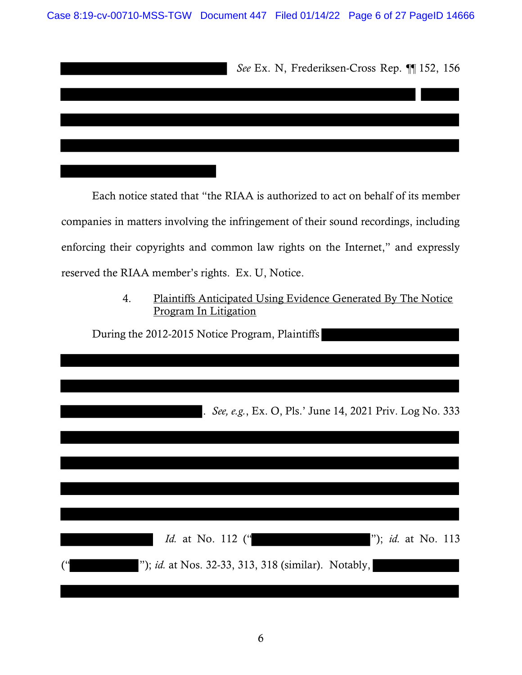| See Ex. N, Frederiksen-Cross Rep. ¶ 152, 156 |
|----------------------------------------------|
|                                              |
|                                              |
|                                              |
|                                              |

Each notice stated that "the RIAA is authorized to act on behalf of its member companies in matters involving the infringement of their sound recordings, including enforcing their copyrights and common law rights on the Internet," and expressly reserved the RIAA member's rights. Ex. U, Notice.

> 4. Plaintiffs Anticipated Using Evidence Generated By The Notice Program In Litigation

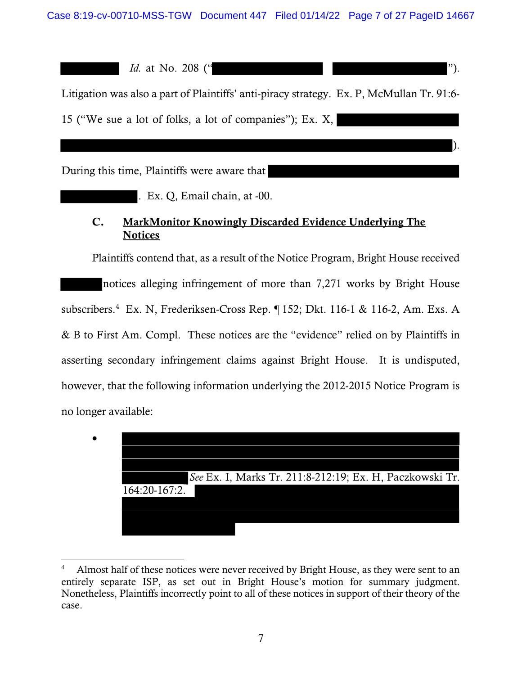*Id.* at No. 208 (" $\blacksquare$ ").

Litigation was also a part of Plaintiffs' anti-piracy strategy. Ex. P, McMullan Tr. 91:6- 15 ("We sue a lot of folks, a lot of companies"); Ex. X,

).

During this time, Plaintiffs were aware that

. Ex. Q, Email chain, at -00.

# C. MarkMonitor Knowingly Discarded Evidence Underlying The **Notices**

Plaintiffs contend that, as a result of the Notice Program, Bright House received notices alleging infringement of more than 7,271 works by Bright House subscribers.<sup>4</sup> Ex. N, Frederiksen-Cross Rep. ¶ 152; Dkt. 116-1 & 116-2, Am. Exs. A & B to First Am. Compl. These notices are the "evidence" relied on by Plaintiffs in asserting secondary infringement claims against Bright House. It is undisputed, however, that the following information underlying the 2012-2015 Notice Program is no longer available:



<sup>4</sup> Almost half of these notices were never received by Bright House, as they were sent to an entirely separate ISP, as set out in Bright House's motion for summary judgment. Nonetheless, Plaintiffs incorrectly point to all of these notices in support of their theory of the case.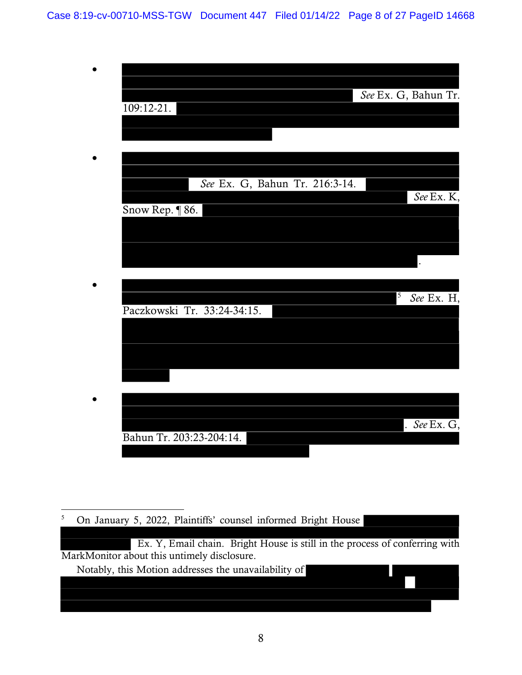Case 8:19-cv-00710-MSS-TGW Document 447 Filed 01/14/22 Page 8 of 27 PageID 14668

| 109:12-21.                     | See Ex. G, Bahun Tr.                    |
|--------------------------------|-----------------------------------------|
|                                |                                         |
|                                |                                         |
| See Ex. G, Bahun Tr. 216:3-14. | See Ex. K,                              |
| Snow Rep. ¶ 86.                |                                         |
|                                |                                         |
|                                | $\overline{5}$                          |
| Paczkowski Tr. 33:24-34:15.    | See Ex. H,                              |
|                                |                                         |
|                                |                                         |
|                                |                                         |
| Bahun Tr. 203:23-204:14.       | $\overline{See \, \mathrm{Ex.} \, G}$ , |
|                                |                                         |

5 On January 5, 2022, Plaintiffs' counsel informed Bright House

 Ex. Y, Email chain. Bright House is still in the process of conferring with MarkMonitor about this untimely disclosure.

Notably, this Motion addresses the unavailability of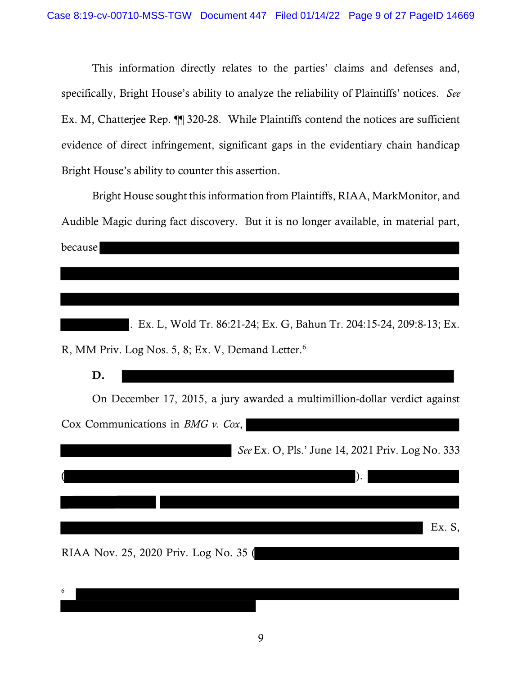This information directly relates to the parties' claims and defenses and, specifically, Bright House's ability to analyze the reliability of Plaintiffs' notices. See Ex. M, Chatterjee Rep. ¶¶ 320-28. While Plaintiffs contend the notices are sufficient evidence of direct infringement, significant gaps in the evidentiary chain handicap Bright House's ability to counter this assertion.

Bright House sought this information from Plaintiffs, RIAA, MarkMonitor, and Audible Magic during fact discovery. But it is no longer available, in material part, because

. Ex. L, Wold Tr. 86:21-24; Ex. G, Bahun Tr. 204:15-24, 209:8-13; Ex. R, MM Priv. Log Nos. 5, 8; Ex. V, Demand Letter.<sup>6</sup>

| D.                                                    |                                                                            |
|-------------------------------------------------------|----------------------------------------------------------------------------|
|                                                       | On December 17, 2015, a jury awarded a multimillion-dollar verdict against |
| Cox Communications in <i>BMG</i> $\nu$ . <i>Cox</i> , |                                                                            |
|                                                       | See Ex. O, Pls.' June 14, 2021 Priv. Log No. 333                           |
|                                                       |                                                                            |
|                                                       |                                                                            |
|                                                       | Ex. S,                                                                     |
| RIAA Nov. 25, 2020 Priv. Log No. 35 (                 |                                                                            |
| 6                                                     |                                                                            |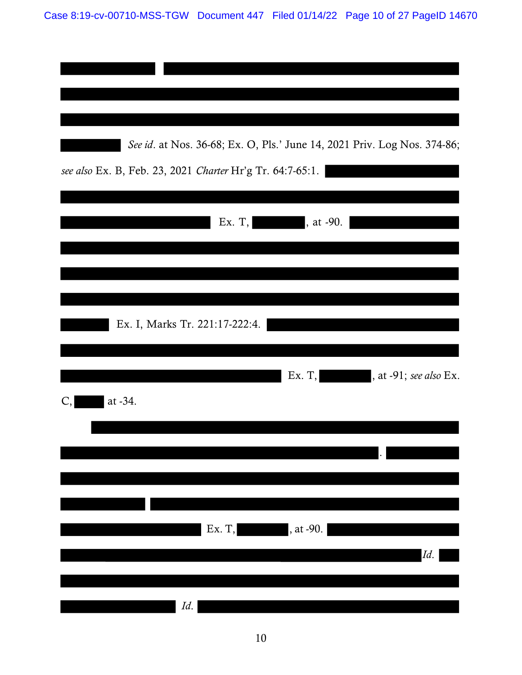| See id. at Nos. 36-68; Ex. O, Pls.' June 14, 2021 Priv. Log Nos. 374-86;<br>see also Ex. B, Feb. 23, 2021 Charter Hr'g Tr. 64:7-65:1. |
|---------------------------------------------------------------------------------------------------------------------------------------|
| Ex. $T,$<br>, at -90.                                                                                                                 |
| Ex. I, Marks Tr. 221:17-222:4.                                                                                                        |
| Ex. T,<br>, at -91; see also Ex.                                                                                                      |
| at -34.<br>C,                                                                                                                         |
| Ex. T,<br>, at -90.                                                                                                                   |
| Id.<br>Id.                                                                                                                            |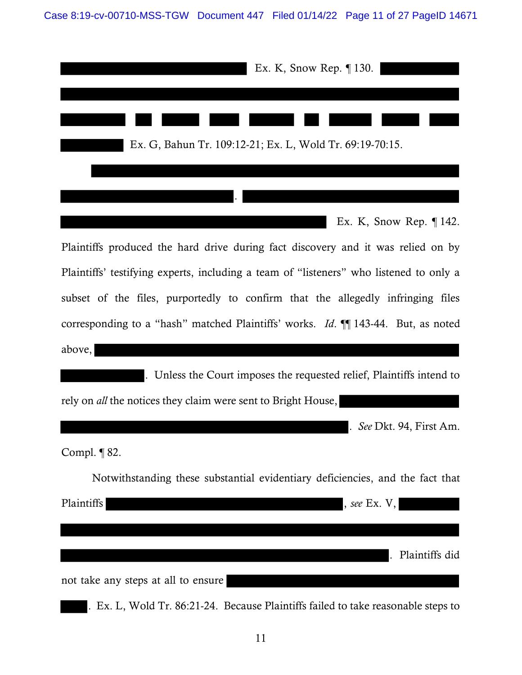| Ex. K, Snow Rep. $\P$ 130.                                                              |
|-----------------------------------------------------------------------------------------|
| Ex. G, Bahun Tr. 109:12-21; Ex. L, Wold Tr. 69:19-70:15.                                |
|                                                                                         |
| Ex. K, Snow Rep. $\P$ 142.                                                              |
| Plaintiffs produced the hard drive during fact discovery and it was relied on by        |
| Plaintiffs' testifying experts, including a team of "listeners" who listened to only a  |
| subset of the files, purportedly to confirm that the allegedly infringing files         |
| corresponding to a "hash" matched Plaintiffs' works. <i>Id.</i> ¶ 143-44. But, as noted |
| above,                                                                                  |
| . Unless the Court imposes the requested relief, Plaintiffs intend to                   |
| rely on <i>all</i> the notices they claim were sent to Bright House,                    |
| . See Dkt. 94, First Am.                                                                |
| Compl. $\P$ 82.                                                                         |
| Not with standing these substantial evidentiary deficiencies, and the fact that         |
| Plaintiffs<br>, see Ex. $V$ ,                                                           |
|                                                                                         |
| Plaintiffs did                                                                          |
| not take any steps at all to ensure                                                     |
| Ex. L, Wold Tr. 86:21-24. Because Plaintiffs failed to take reasonable steps to         |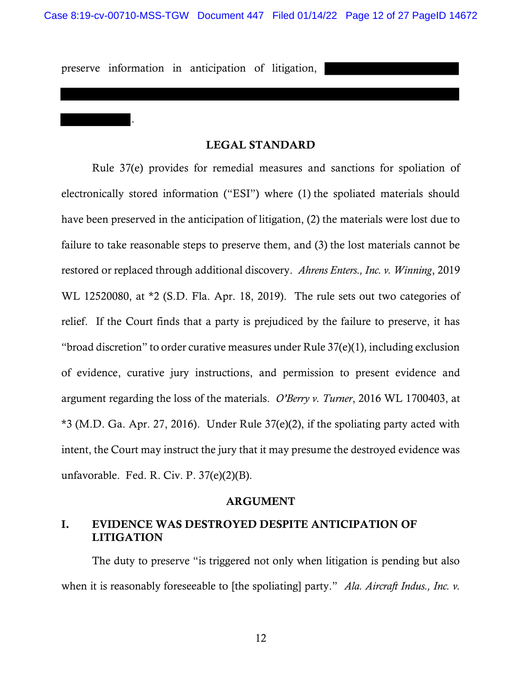preserve information in anticipation of litigation,

.

#### LEGAL STANDARD

Rule 37(e) provides for remedial measures and sanctions for spoliation of electronically stored information ("ESI") where (1) the spoliated materials should have been preserved in the anticipation of litigation, (2) the materials were lost due to failure to take reasonable steps to preserve them, and (3) the lost materials cannot be restored or replaced through additional discovery. Ahrens Enters., Inc. v. Winning, 2019 WL 12520080, at \*2 (S.D. Fla. Apr. 18, 2019). The rule sets out two categories of relief. If the Court finds that a party is prejudiced by the failure to preserve, it has "broad discretion" to order curative measures under Rule 37(e)(1), including exclusion of evidence, curative jury instructions, and permission to present evidence and argument regarding the loss of the materials. O'Berry v. Turner, 2016 WL 1700403, at \*3 (M.D. Ga. Apr. 27, 2016). Under Rule 37(e)(2), if the spoliating party acted with intent, the Court may instruct the jury that it may presume the destroyed evidence was unfavorable. Fed. R. Civ. P. 37(e)(2)(B).

#### ARGUMENT

### I. EVIDENCE WAS DESTROYED DESPITE ANTICIPATION OF LITIGATION

The duty to preserve "is triggered not only when litigation is pending but also when it is reasonably foreseeable to [the spoliating] party." Ala. Aircraft Indus., Inc. v.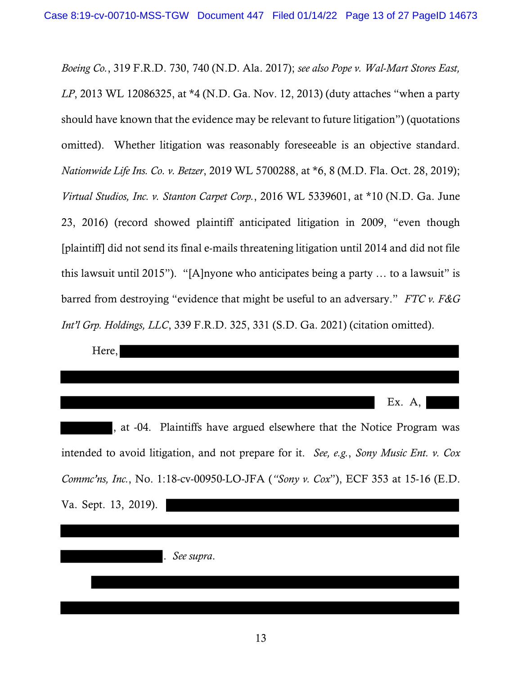Boeing Co., 319 F.R.D. 730, 740 (N.D. Ala. 2017); see also Pope v. Wal-Mart Stores East, LP, 2013 WL 12086325, at \*4 (N.D. Ga. Nov. 12, 2013) (duty attaches "when a party should have known that the evidence may be relevant to future litigation") (quotations omitted). Whether litigation was reasonably foreseeable is an objective standard. Nationwide Life Ins. Co. v. Betzer, 2019 WL 5700288, at \*6, 8 (M.D. Fla. Oct. 28, 2019); Virtual Studios, Inc. v. Stanton Carpet Corp., 2016 WL 5339601, at \*10 (N.D. Ga. June 23, 2016) (record showed plaintiff anticipated litigation in 2009, "even though [plaintiff] did not send its final e-mails threatening litigation until 2014 and did not file this lawsuit until 2015"). "[A]nyone who anticipates being a party … to a lawsuit" is barred from destroying "evidence that might be useful to an adversary." FTC v. F&G Int'l Grp. Holdings, LLC, 339 F.R.D. 325, 331 (S.D. Ga. 2021) (citation omitted).

| Here,                                                                                   |          |
|-----------------------------------------------------------------------------------------|----------|
|                                                                                         |          |
|                                                                                         | Ex. $A,$ |
| , at -04. Plaintiffs have argued elsewhere that the Notice Program was                  |          |
| intended to avoid litigation, and not prepare for it. See, e.g., Sony Music Ent. v. Cox |          |
| Commc'ns, Inc., No. 1:18-cv-00950-LO-JFA ("Sony v. Cox"), ECF 353 at 15-16 (E.D.        |          |
| Va. Sept. 13, 2019).                                                                    |          |
|                                                                                         |          |
| See supra.                                                                              |          |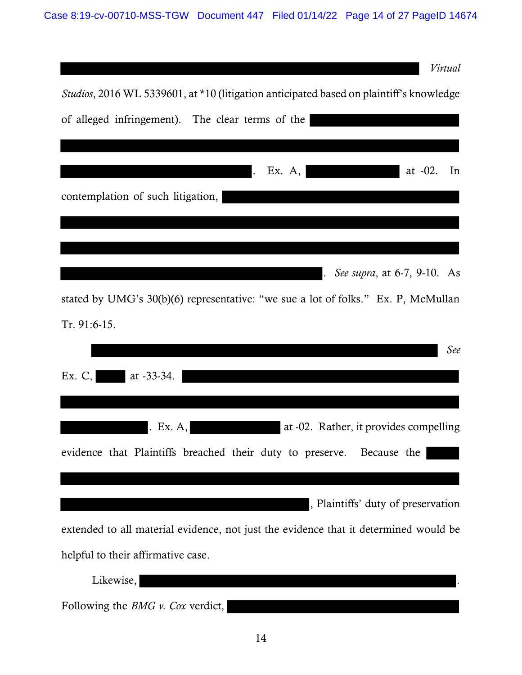| Virtual                                                                                         |
|-------------------------------------------------------------------------------------------------|
| <i>Studios</i> , 2016 WL 5339601, at *10 (litigation anticipated based on plaintiff's knowledge |
| of alleged infringement). The clear terms of the                                                |
|                                                                                                 |
| Ex. $A$ ,<br>at $-02$ .<br>In                                                                   |
| contemplation of such litigation,                                                               |
|                                                                                                 |
|                                                                                                 |
| See supra, at 6-7, 9-10. As                                                                     |
| stated by UMG's 30(b)(6) representative: "we sue a lot of folks." Ex. P, McMullan               |
| Tr. 91:6-15.                                                                                    |
| See                                                                                             |
| at $-33-34$ .<br>Ex. $C$ ,                                                                      |
|                                                                                                 |
| at -02. Rather, it provides compelling<br>. Ex. $A$ ,                                           |
| evidence that Plaintiffs breached their duty to preserve. Because the                           |
|                                                                                                 |
| , Plaintiffs' duty of preservation                                                              |
|                                                                                                 |
| extended to all material evidence, not just the evidence that it determined would be            |
| helpful to their affirmative case.                                                              |
| Likewise,                                                                                       |
| Following the <i>BMG</i> $\nu$ . <i>Cox</i> verdict,                                            |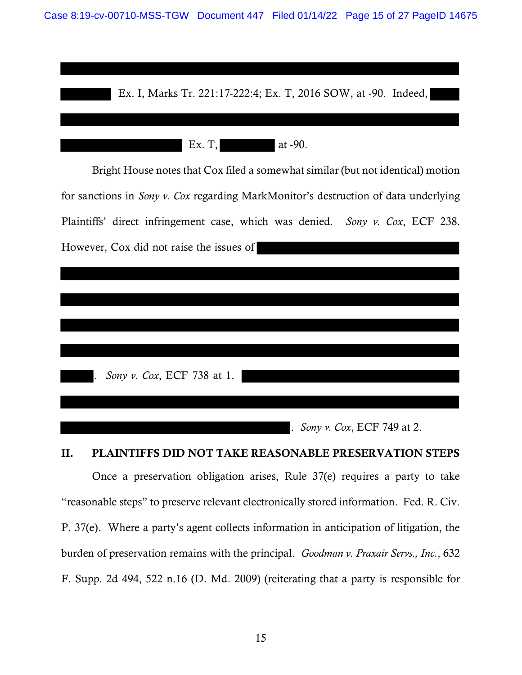



#### II. PLAINTIFFS DID NOT TAKE REASONABLE PRESERVATION STEPS

Once a preservation obligation arises, Rule 37(e) requires a party to take "reasonable steps" to preserve relevant electronically stored information. Fed. R. Civ. P. 37(e). Where a party's agent collects information in anticipation of litigation, the burden of preservation remains with the principal. Goodman v. Praxair Servs., Inc., 632 F. Supp. 2d 494, 522 n.16 (D. Md. 2009) (reiterating that a party is responsible for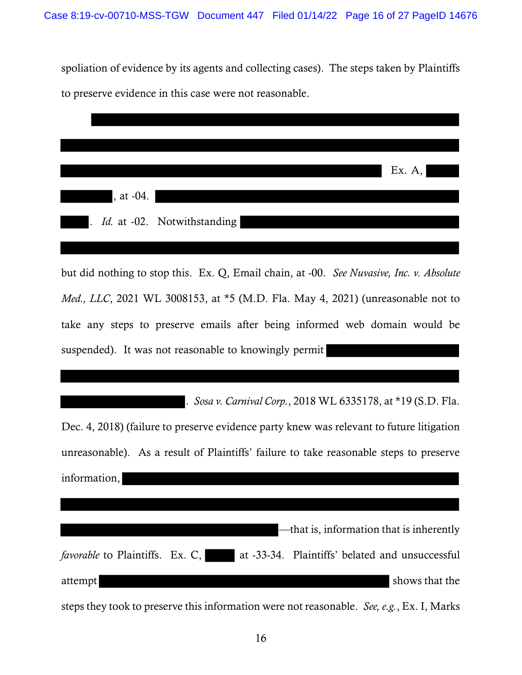spoliation of evidence by its agents and collecting cases). The steps taken by Plaintiffs to preserve evidence in this case were not reasonable.

|                          |             |                               | Ex. $A$ , |
|--------------------------|-------------|-------------------------------|-----------|
| <u> Albanya da</u>       | $, at -04.$ |                               |           |
| $\overline{\phantom{a}}$ |             | . Id. at -02. Notwithstanding |           |
|                          |             |                               |           |

but did nothing to stop this. Ex. Q, Email chain, at -00. See Nuvasive, Inc. v. Absolute Med., LLC, 2021 WL 3008153, at \*5 (M.D. Fla. May 4, 2021) (unreasonable not to take any steps to preserve emails after being informed web domain would be suspended). It was not reasonable to knowingly permit

. Sosa v. Carnival Corp., 2018 WL 6335178, at \*19 (S.D. Fla. Dec. 4, 2018) (failure to preserve evidence party knew was relevant to future litigation unreasonable). As a result of Plaintiffs' failure to take reasonable steps to preserve information, —that is, information that is inherently favorable to Plaintiffs. Ex. C,  $\alpha$  at -33-34. Plaintiffs' belated and unsuccessful attempt shows that the

steps they took to preserve this information were not reasonable. See, e.g., Ex. I, Marks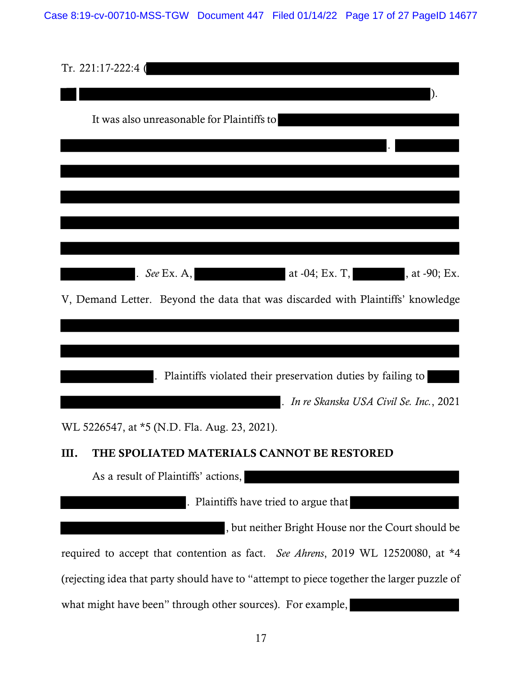Case 8:19-cv-00710-MSS-TGW Document 447 Filed 01/14/22 Page 17 of 27 PageID 14677

| Tr. 221:17-222:4 (                                                                        |
|-------------------------------------------------------------------------------------------|
|                                                                                           |
| It was also unreasonable for Plaintiffs to                                                |
|                                                                                           |
|                                                                                           |
|                                                                                           |
|                                                                                           |
|                                                                                           |
| at $-04$ ; Ex. T,<br>, at -90; Ex.<br>See Ex. $A$ ,                                       |
| V, Demand Letter. Beyond the data that was discarded with Plaintiffs' knowledge           |
|                                                                                           |
|                                                                                           |
| . Plaintiffs violated their preservation duties by failing to                             |
| . In re Skanska USA Civil Se. Inc., 2021                                                  |
| WL 5226547, at *5 (N.D. Fla. Aug. 23, 2021).                                              |
| Ш.<br>THE SPOLIATED MATERIALS CANNOT BE RESTORED                                          |
| As a result of Plaintiffs' actions,                                                       |
| . Plaintiffs have tried to argue that                                                     |
| , but neither Bright House nor the Court should be                                        |
| required to accept that contention as fact. See Ahrens, 2019 WL 12520080, at *4           |
| (rejecting idea that party should have to "attempt to piece together the larger puzzle of |
| what might have been" through other sources). For example,                                |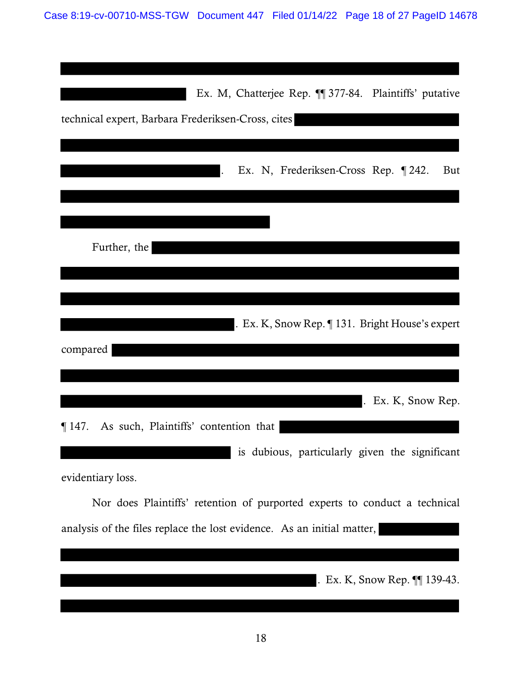| Ex. M, Chatterjee Rep. 11 377-84. Plaintiffs' putative                     |
|----------------------------------------------------------------------------|
| technical expert, Barbara Frederiksen-Cross, cites                         |
|                                                                            |
| Ex. N, Frederiksen-Cross Rep. 1242.<br>But                                 |
|                                                                            |
|                                                                            |
| Further, the                                                               |
|                                                                            |
|                                                                            |
|                                                                            |
| . Ex. K, Snow Rep. $\P$ 131. Bright House's expert                         |
| compared                                                                   |
|                                                                            |
|                                                                            |
| $.$ Ex. K, Snow Rep.                                                       |
| $\P$ 147. As such, Plaintiffs' contention that                             |
| is dubious, particularly given the significant                             |
| evidentiary loss.                                                          |
| Nor does Plaintiffs' retention of purported experts to conduct a technical |
| analysis of the files replace the lost evidence. As an initial matter,     |
|                                                                            |
| . Ex. K, Snow Rep. $\P$ 139-43.                                            |
|                                                                            |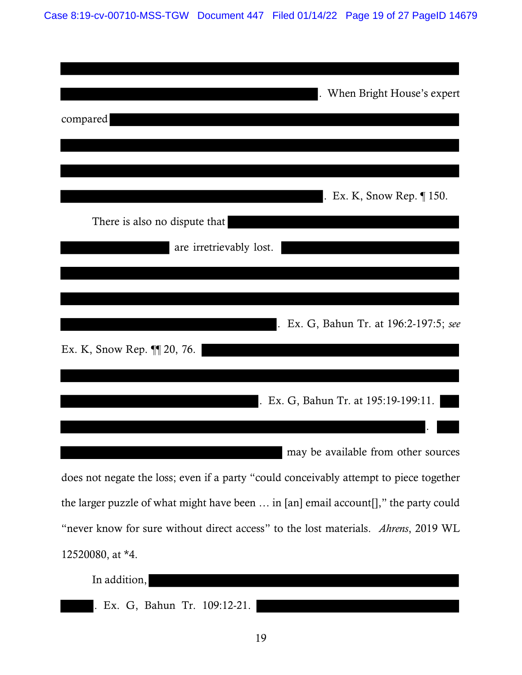Case 8:19-cv-00710-MSS-TGW Document 447 Filed 01/14/22 Page 19 of 27 PageID 14679

| . When Bright House's expert                                                           |  |
|----------------------------------------------------------------------------------------|--|
| compared                                                                               |  |
|                                                                                        |  |
| $\vert$ . Ex. K, Snow Rep. $\P$ 150.                                                   |  |
| There is also no dispute that                                                          |  |
| are irretrievably lost.                                                                |  |
|                                                                                        |  |
| . Ex. G, Bahun Tr. at 196:2-197:5; see                                                 |  |
| Ex. K, Snow Rep. ¶ 20, 76.                                                             |  |
|                                                                                        |  |
| . Ex. G, Bahun Tr. at 195:19-199:11.                                                   |  |
|                                                                                        |  |
| may be available from other sources                                                    |  |
| does not negate the loss; even if a party "could conceivably attempt to piece together |  |
| the larger puzzle of what might have been  in [an] email account[]," the party could   |  |
| "never know for sure without direct access" to the lost materials. Ahrens, 2019 WL     |  |
| 12520080, at *4.                                                                       |  |
| In addition,                                                                           |  |

. Ex. G, Bahun Tr. 109:12-21.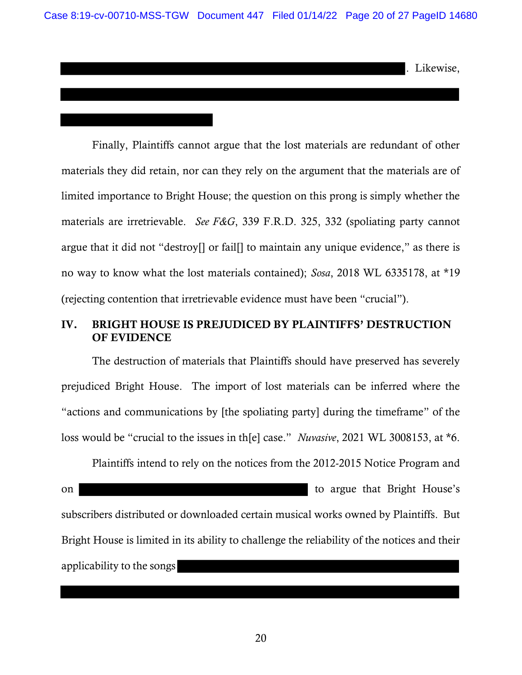. Likewise,

Finally, Plaintiffs cannot argue that the lost materials are redundant of other materials they did retain, nor can they rely on the argument that the materials are of limited importance to Bright House; the question on this prong is simply whether the materials are irretrievable. See F&G, 339 F.R.D. 325, 332 (spoliating party cannot argue that it did not "destroy[] or fail[] to maintain any unique evidence," as there is no way to know what the lost materials contained); Sosa, 2018 WL 6335178, at \*19 (rejecting contention that irretrievable evidence must have been "crucial").

### IV. BRIGHT HOUSE IS PREJUDICED BY PLAINTIFFS' DESTRUCTION OF EVIDENCE

The destruction of materials that Plaintiffs should have preserved has severely prejudiced Bright House. The import of lost materials can be inferred where the "actions and communications by [the spoliating party] during the timeframe" of the loss would be "crucial to the issues in th[e] case." Nuvasive, 2021 WL 3008153, at \*6.

Plaintiffs intend to rely on the notices from the 2012-2015 Notice Program and on to argue that Bright House's subscribers distributed or downloaded certain musical works owned by Plaintiffs. But Bright House is limited in its ability to challenge the reliability of the notices and their applicability to the songs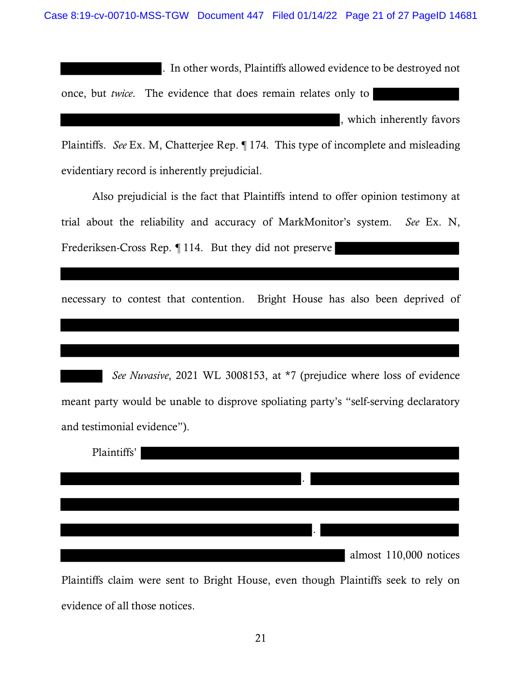. In other words, Plaintiffs allowed evidence to be destroyed not

once, but twice. The evidence that does remain relates only to

, which inherently favors

Plaintiffs. See Ex. M, Chatterjee Rep. ¶ 174. This type of incomplete and misleading evidentiary record is inherently prejudicial.

Also prejudicial is the fact that Plaintiffs intend to offer opinion testimony at trial about the reliability and accuracy of MarkMonitor's system. See Ex. N, Frederiksen-Cross Rep. ¶ 114. But they did not preserve

necessary to contest that contention. Bright House has also been deprived of

See Nuvasive, 2021 WL 3008153, at \*7 (prejudice where loss of evidence meant party would be unable to disprove spoliating party's "self-serving declaratory and testimonial evidence").

| Plaintiffs' |  |   |                        |  |
|-------------|--|---|------------------------|--|
|             |  |   |                        |  |
|             |  | ٠ |                        |  |
|             |  |   |                        |  |
|             |  |   |                        |  |
|             |  |   |                        |  |
|             |  |   | almost 110,000 notices |  |
|             |  |   |                        |  |

Plaintiffs claim were sent to Bright House, even though Plaintiffs seek to rely on evidence of all those notices.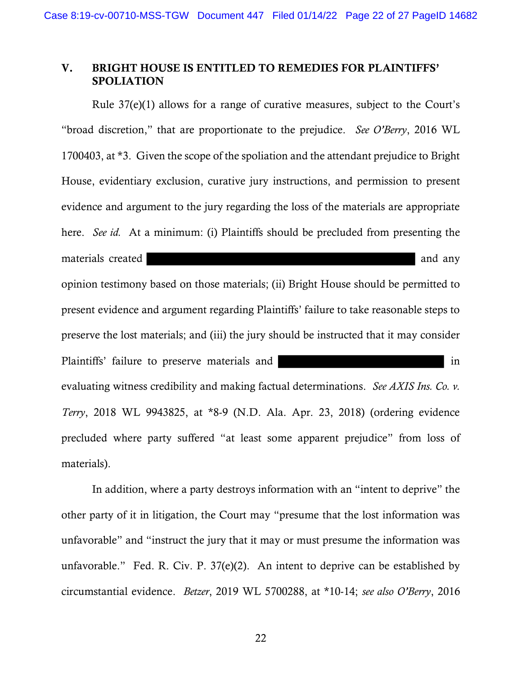### V. BRIGHT HOUSE IS ENTITLED TO REMEDIES FOR PLAINTIFFS' **SPOLIATION**

Rule 37(e)(1) allows for a range of curative measures, subject to the Court's "broad discretion," that are proportionate to the prejudice. See O'Berry, 2016 WL 1700403, at \*3. Given the scope of the spoliation and the attendant prejudice to Bright House, evidentiary exclusion, curative jury instructions, and permission to present evidence and argument to the jury regarding the loss of the materials are appropriate here. *See id.* At a minimum: (i) Plaintiffs should be precluded from presenting the materials created and any materials created and any materials created and any opinion testimony based on those materials; (ii) Bright House should be permitted to present evidence and argument regarding Plaintiffs' failure to take reasonable steps to preserve the lost materials; and (iii) the jury should be instructed that it may consider Plaintiffs' failure to preserve materials and in evaluating witness credibility and making factual determinations. See AXIS Ins. Co. v. Terry, 2018 WL 9943825, at \*8-9 (N.D. Ala. Apr. 23, 2018) (ordering evidence precluded where party suffered "at least some apparent prejudice" from loss of materials).

In addition, where a party destroys information with an "intent to deprive" the other party of it in litigation, the Court may "presume that the lost information was unfavorable" and "instruct the jury that it may or must presume the information was unfavorable." Fed. R. Civ. P. 37(e)(2). An intent to deprive can be established by circumstantial evidence. Betzer, 2019 WL 5700288, at \*10-14; see also O'Berry, 2016

22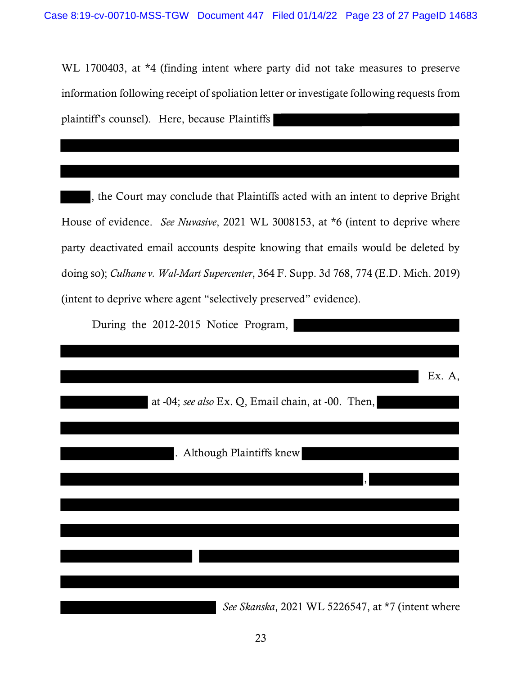WL 1700403, at \*4 (finding intent where party did not take measures to preserve information following receipt of spoliation letter or investigate following requests from plaintiff's counsel). Here, because Plaintiffs

, the Court may conclude that Plaintiffs acted with an intent to deprive Bright House of evidence. See Nuvasive, 2021 WL 3008153, at \*6 (intent to deprive where party deactivated email accounts despite knowing that emails would be deleted by doing so); Culhane v. Wal-Mart Supercenter, 364 F. Supp. 3d 768, 774 (E.D. Mich. 2019) (intent to deprive where agent "selectively preserved" evidence).

During the 2012-2015 Notice Program,

|                                                    | Ex. A, |
|----------------------------------------------------|--------|
| at -04; see also Ex. Q, Email chain, at -00. Then, |        |
|                                                    |        |
| . Although Plaintiffs knew                         |        |
|                                                    |        |
|                                                    |        |
|                                                    |        |
|                                                    |        |
|                                                    |        |
|                                                    |        |
| See Skanska, 2021 WL 5226547, at *7 (intent where  |        |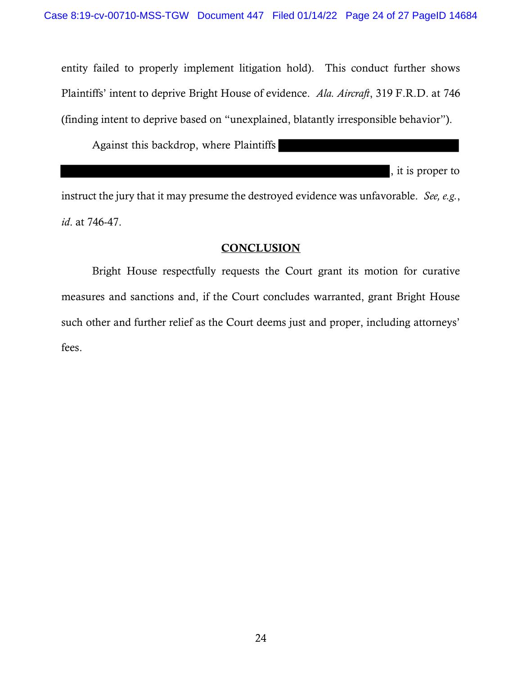entity failed to properly implement litigation hold). This conduct further shows Plaintiffs' intent to deprive Bright House of evidence. Ala. Aircraft, 319 F.R.D. at 746 (finding intent to deprive based on "unexplained, blatantly irresponsible behavior").

Against this backdrop, where Plaintiffs

, it is proper to

instruct the jury that it may presume the destroyed evidence was unfavorable. See, e.g., id. at 746-47.

### **CONCLUSION**

Bright House respectfully requests the Court grant its motion for curative measures and sanctions and, if the Court concludes warranted, grant Bright House such other and further relief as the Court deems just and proper, including attorneys' fees.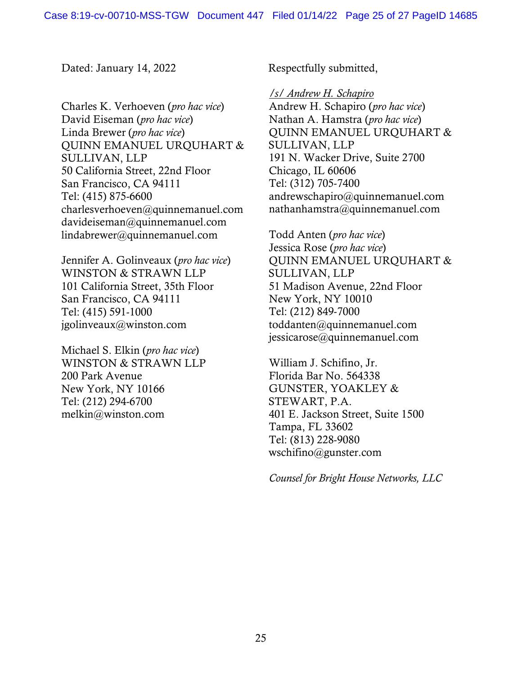Dated: January 14, 2022 Respectfully submitted,

Charles K. Verhoeven (pro hac vice) David Eiseman (pro hac vice) Linda Brewer (pro hac vice) QUINN EMANUEL URQUHART & SULLIVAN, LLP 50 California Street, 22nd Floor San Francisco, CA 94111 Tel: (415) 875-6600 charlesverhoeven@quinnemanuel.com davideiseman@quinnemanuel.com lindabrewer@quinnemanuel.com

Jennifer A. Golinveaux (pro hac vice) WINSTON & STRAWN LLP 101 California Street, 35th Floor San Francisco, CA 94111 Tel: (415) 591-1000 jgolinveaux@winston.com

Michael S. Elkin (pro hac vice) WINSTON & STRAWN LLP 200 Park Avenue New York, NY 10166 Tel: (212) 294-6700 melkin@winston.com

/s/ Andrew H. Schapiro Andrew H. Schapiro (pro hac vice) Nathan A. Hamstra (pro hac vice) QUINN EMANUEL URQUHART & SULLIVAN, LLP 191 N. Wacker Drive, Suite 2700 Chicago, IL 60606 Tel: (312) 705-7400 andrewschapiro@quinnemanuel.com nathanhamstra@quinnemanuel.com

Todd Anten (pro hac vice) Jessica Rose (pro hac vice) QUINN EMANUEL URQUHART & SULLIVAN, LLP 51 Madison Avenue, 22nd Floor New York, NY 10010 Tel: (212) 849-7000 toddanten@quinnemanuel.com jessicarose@quinnemanuel.com

William J. Schifino, Jr. Florida Bar No. 564338 GUNSTER, YOAKLEY & STEWART, P.A. 401 E. Jackson Street, Suite 1500 Tampa, FL 33602 Tel: (813) 228-9080 wschifino@gunster.com

Counsel for Bright House Networks, LLC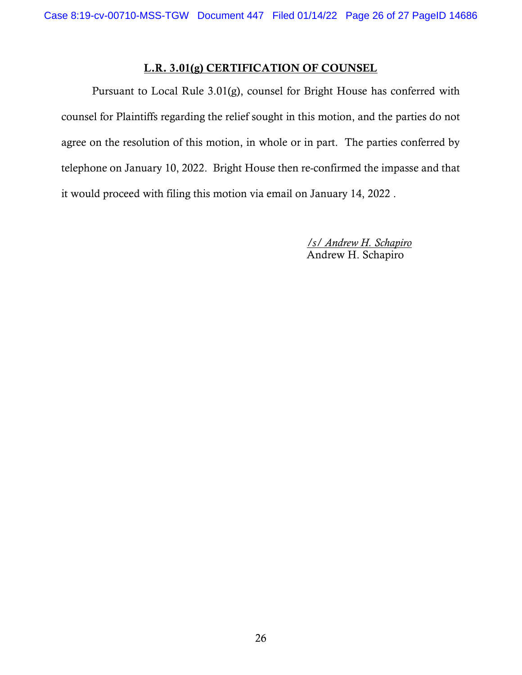# L.R. 3.01(g) CERTIFICATION OF COUNSEL

Pursuant to Local Rule 3.01(g), counsel for Bright House has conferred with counsel for Plaintiffs regarding the relief sought in this motion, and the parties do not agree on the resolution of this motion, in whole or in part. The parties conferred by telephone on January 10, 2022. Bright House then re-confirmed the impasse and that it would proceed with filing this motion via email on January 14, 2022 .

> /s/ Andrew H. Schapiro Andrew H. Schapiro